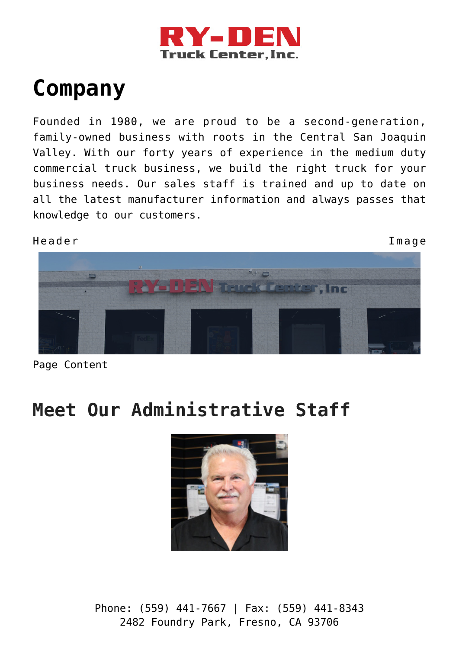

# **[Company](https://ry-den.com/company/)**

Founded in 1980, we are proud to be a second-generation, family-owned business with roots in the Central San Joaquin Valley. With our forty years of experience in the medium duty commercial truck business, we build the right truck for your business needs. Our sales staff is trained and up to date on all the latest manufacturer information and always passes that knowledge to our customers.



Page Content

## **Meet Our Administrative Staff**

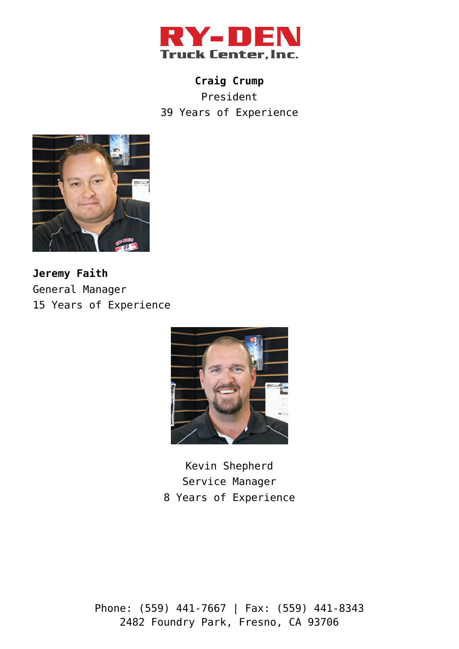

**Craig Crump** President 39 Years of Experience



**Jeremy Faith** General Manager 15 Years of Experience



Kevin Shepherd Service Manager 8 Years of Experience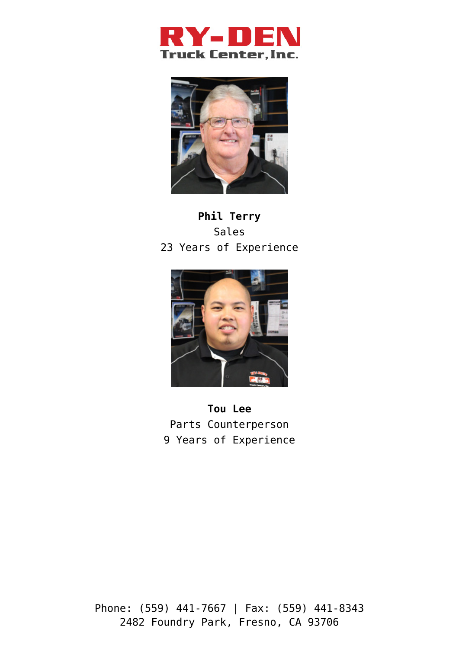



### **Phil Terry** Sales 23 Years of Experience



**Tou Lee** Parts Counterperson 9 Years of Experience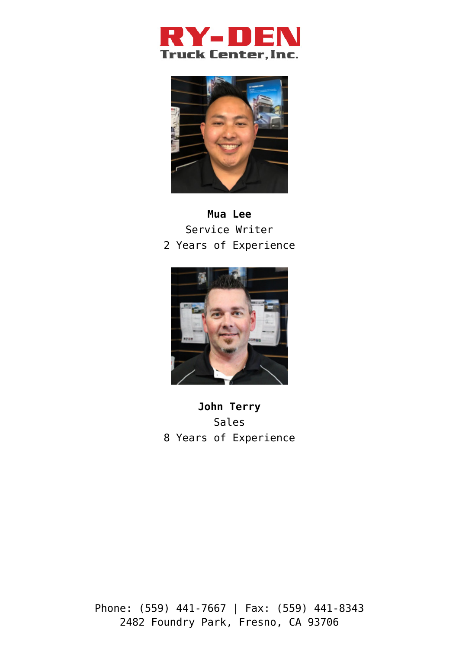



### **Mua Lee** Service Writer 2 Years of Experience



**John Terry** Sales 8 Years of Experience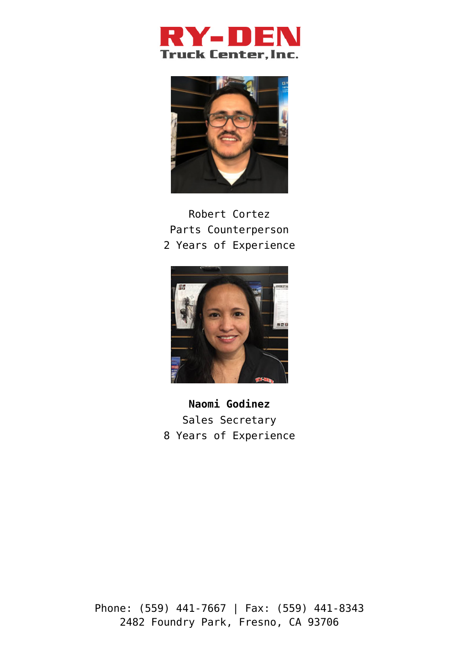



### Robert Cortez Parts Counterperson 2 Years of Experience



**Naomi Godinez** Sales Secretary 8 Years of Experience